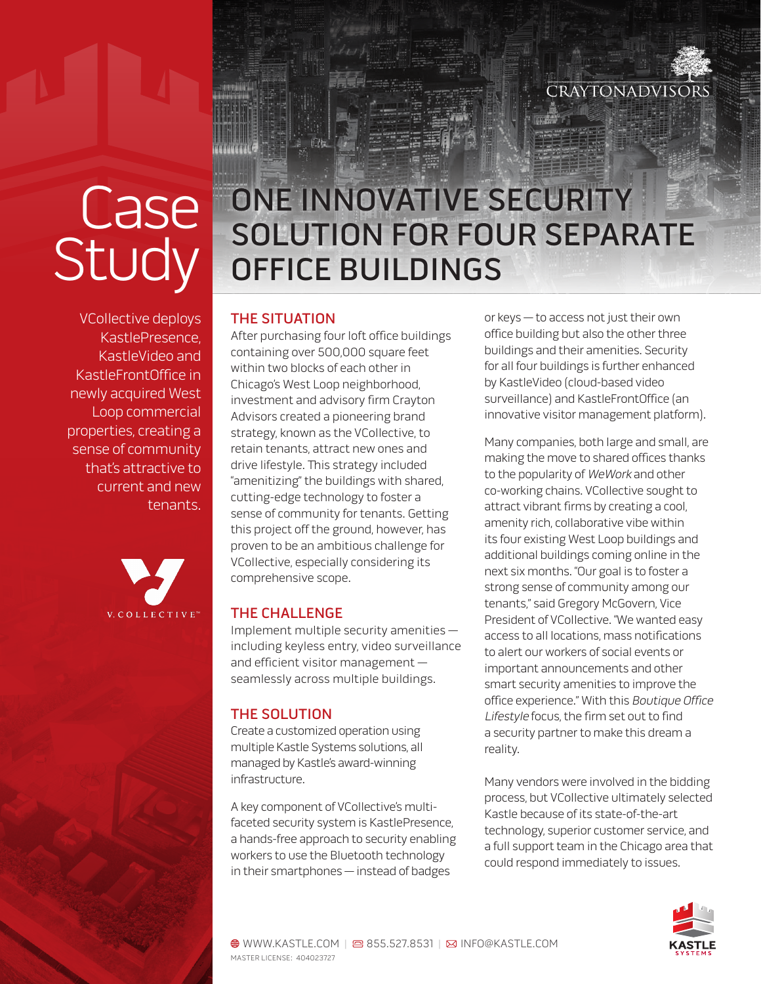

# **Case** Study

VCollective deploys KastlePresence, KastleVideo and KastleFrontOffice in newly acquired West Loop commercial properties, creating a sense of community that's attractive to current and new tenants.



## ONE INNOVATIVE SECURITY SOLUTION FOR FOUR SEPARATE OFFICE BUILDINGS

#### THE SITUATION

After purchasing four loft office buildings containing over 500,000 square feet within two blocks of each other in Chicago's West Loop neighborhood, investment and advisory firm Crayton Advisors created a pioneering brand strategy, known as the VCollective, to retain tenants, attract new ones and drive lifestyle. This strategy included "amenitizing" the buildings with shared, cutting-edge technology to foster a sense of community for tenants. Getting this project off the ground, however, has proven to be an ambitious challenge for VCollective, especially considering its comprehensive scope.

#### THE CHALLENGE

Implement multiple security amenities including keyless entry, video surveillance and efficient visitor management seamlessly across multiple buildings.

#### THE SOLUTION

Create a customized operation using multiple Kastle Systems solutions, all managed by Kastle's award-winning infrastructure.

A key component of VCollective's multifaceted security system is KastlePresence, a hands-free approach to security enabling workers to use the Bluetooth technology in their smartphones — instead of badges

or keys — to access not just their own office building but also the other three buildings and their amenities. Security for all four buildings is further enhanced by KastleVideo (cloud-based video surveillance) and KastleFrontOffice (an innovative visitor management platform).

Many companies, both large and small, are making the move to shared offices thanks to the popularity of WeWork and other co-working chains. VCollective sought to attract vibrant firms by creating a cool, amenity rich, collaborative vibe within its four existing West Loop buildings and additional buildings coming online in the next six months. "Our goal is to foster a strong sense of community among our tenants," said Gregory McGovern, Vice President of VCollective. "We wanted easy access to all locations, mass notifications to alert our workers of social events or important announcements and other smart security amenities to improve the office experience." With this Boutique Office Lifestyle focus, the firm set out to find a security partner to make this dream a reality.

Many vendors were involved in the bidding process, but VCollective ultimately selected Kastle because of its state-of-the-art technology, superior customer service, and a full support team in the Chicago area that could respond immediately to issues.